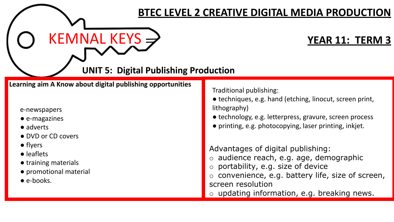## **BTEC LEVEL 2 CREATIVE DIGITAL MEDIA PRODUCTION**

 $KEMNAL KEYS \rightarrow$ 

**UNIT 5: Digital Publishing Production**

**Learning aim A Know about digital publishing opportunities**

## e-newspapers

- e-magazines
- adverts
- DVD or CD covers
- flyers
- leaflets
- training materials
- promotional material
- $\bullet$  e-books.

Traditional publishing:

- techniques, e.g. hand (etching, linocut, screen print, lithography)
- technology, e.g. letterpress, gravure, screen process
- printing, e.g. photocopying, laser printing, inkjet.

Advantages of digital publishing:

- o audience reach, e.g. age, demographic
- o portability, e.g. size of device
- o convenience, e.g. battery life, size of screen, screen resolution
- o updating information, e.g. breaking news.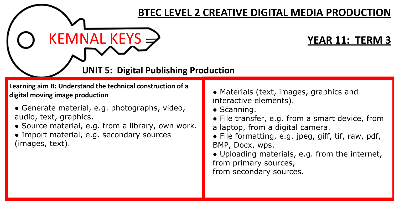## **BTEC LEVEL 2 CREATIVE DIGITAL MEDIA PRODUCTION**

 $KEMNAL KEYS \rightarrow$ 

**UNIT 5: Digital Publishing Production**

**Learning aim B: Understand the technical construction of a digital moving image production**

- Generate material, e.g. photographs, video, audio, text, graphics.
- Source material, e.g. from a library, own work.
- Import material, e.g. secondary sources (images, text).
- Materials (text, images, graphics and interactive elements).
- Scanning.
- File transfer, e.g. from a smart device, from a laptop, from a digital camera.
- File formatting, e.g. jpeg, giff, tif, raw, pdf, BMP, Docx, wps.
- Uploading materials, e.g. from the internet, from primary sources, from secondary sources.